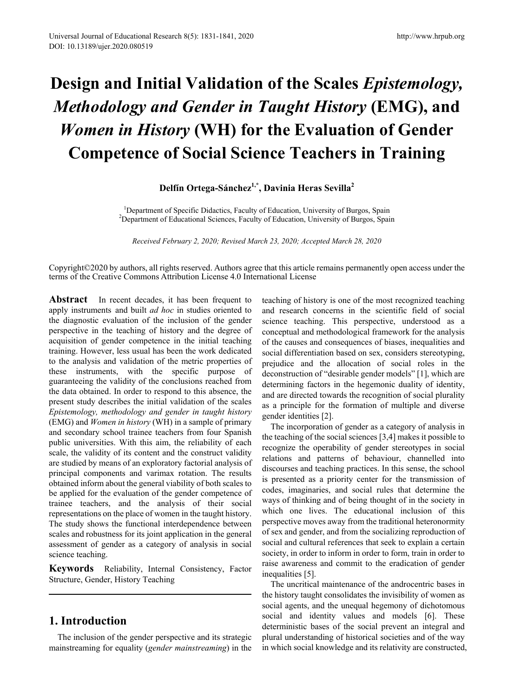# **Design and Initial Validation of the Scales** *Epistemology, Methodology and Gender in Taught History* **(EMG), and**  *Women in History* **(WH) for the Evaluation of Gender Competence of Social Science Teachers in Training**

# Delfín Ortega-Sánchez<sup>1,\*</sup>, Davinia Heras Sevilla<sup>2</sup>

<sup>1</sup> Department of Specific Didactics, Faculty of Education, University of Burgos, Spain<br><sup>2</sup> Department of Educational Sciences, Faculty of Education, University of Burgos, Spain <sup>2</sup>Department of Educational Sciences, Faculty of Education, University of Burgos, Spain

*Received February 2, 2020; Revised March 23, 2020; Accepted March 28, 2020*

Copyright©2020 by authors, all rights reserved. Authors agree that this article remains permanently open access under the terms of the Creative Commons Attribution License 4.0 International License

Abstract In recent decades, it has been frequent to apply instruments and built *ad hoc* in studies oriented to the diagnostic evaluation of the inclusion of the gender perspective in the teaching of history and the degree of acquisition of gender competence in the initial teaching training. However, less usual has been the work dedicated to the analysis and validation of the metric properties of these instruments, with the specific purpose of guaranteeing the validity of the conclusions reached from the data obtained. In order to respond to this absence, the present study describes the initial validation of the scales *Epistemology, methodology and gender in taught history*  (EMG) and *Women in history* (WH) in a sample of primary and secondary school trainee teachers from four Spanish public universities. With this aim, the reliability of each scale, the validity of its content and the construct validity are studied by means of an exploratory factorial analysis of principal components and varimax rotation. The results obtained inform about the general viability of both scales to be applied for the evaluation of the gender competence of trainee teachers, and the analysis of their social representations on the place of women in the taught history. The study shows the functional interdependence between scales and robustness for its joint application in the general assessment of gender as a category of analysis in social science teaching.

**Keywords** Reliability, Internal Consistency, Factor Structure, Gender, History Teaching

# **1. Introduction**

The inclusion of the gender perspective and its strategic mainstreaming for equality (*gender mainstreaming*) in the teaching of history is one of the most recognized teaching and research concerns in the scientific field of social science teaching. This perspective, understood as a conceptual and methodological framework for the analysis of the causes and consequences of biases, inequalities and social differentiation based on sex, considers stereotyping, prejudice and the allocation of social roles in the deconstruction of "desirable gender models" [1], which are determining factors in the hegemonic duality of identity, and are directed towards the recognition of social plurality as a principle for the formation of multiple and diverse gender identities [2].

The incorporation of gender as a category of analysis in the teaching of the social sciences [3,4] makes it possible to recognize the operability of gender stereotypes in social relations and patterns of behaviour, channelled into discourses and teaching practices. In this sense, the school is presented as a priority center for the transmission of codes, imaginaries, and social rules that determine the ways of thinking and of being thought of in the society in which one lives. The educational inclusion of this perspective moves away from the traditional heteronormity of sex and gender, and from the socializing reproduction of social and cultural references that seek to explain a certain society, in order to inform in order to form, train in order to raise awareness and commit to the eradication of gender inequalities [5].

The uncritical maintenance of the androcentric bases in the history taught consolidates the invisibility of women as social agents, and the unequal hegemony of dichotomous social and identity values and models [6]. These deterministic bases of the social prevent an integral and plural understanding of historical societies and of the way in which social knowledge and its relativity are constructed,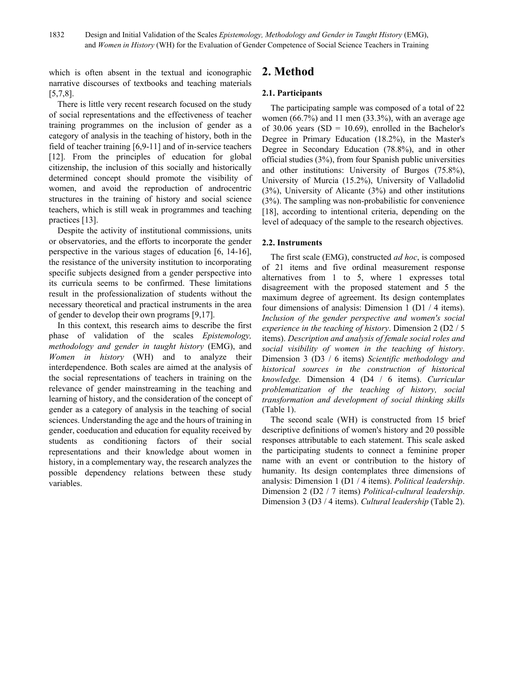which is often absent in the textual and iconographic narrative discourses of textbooks and teaching materials [5,7,8].

There is little very recent research focused on the study of social representations and the effectiveness of teacher training programmes on the inclusion of gender as a category of analysis in the teaching of history, both in the field of teacher training [6,9-11] and of in-service teachers [12]. From the principles of education for global citizenship, the inclusion of this socially and historically determined concept should promote the visibility of women, and avoid the reproduction of androcentric structures in the training of history and social science teachers, which is still weak in programmes and teaching practices [13].

Despite the activity of institutional commissions, units or observatories, and the efforts to incorporate the gender perspective in the various stages of education [6, 14-16], the resistance of the university institution to incorporating specific subjects designed from a gender perspective into its curricula seems to be confirmed. These limitations result in the professionalization of students without the necessary theoretical and practical instruments in the area of gender to develop their own programs [9,17].

In this context, this research aims to describe the first phase of validation of the scales *Epistemology, methodology and gender in taught history* (EMG), and *Women in history* (WH) and to analyze their interdependence. Both scales are aimed at the analysis of the social representations of teachers in training on the relevance of gender mainstreaming in the teaching and learning of history, and the consideration of the concept of gender as a category of analysis in the teaching of social sciences. Understanding the age and the hours of training in gender, coeducation and education for equality received by students as conditioning factors of their social representations and their knowledge about women in history, in a complementary way, the research analyzes the possible dependency relations between these study variables.

# **2. Method**

## **2.1. Participants**

The participating sample was composed of a total of 22 women  $(66.7\%)$  and 11 men  $(33.3\%)$ , with an average age of 30.06 years (SD = 10.69), enrolled in the Bachelor's Degree in Primary Education (18.2%), in the Master's Degree in Secondary Education (78.8%), and in other official studies (3%), from four Spanish public universities and other institutions: University of Burgos (75.8%), University of Murcia (15.2%), University of Valladolid (3%), University of Alicante (3%) and other institutions (3%). The sampling was non-probabilistic for convenience [18], according to intentional criteria, depending on the level of adequacy of the sample to the research objectives.

## **2.2. Instruments**

The first scale (EMG), constructed *ad hoc*, is composed of 21 items and five ordinal measurement response alternatives from 1 to 5, where 1 expresses total disagreement with the proposed statement and 5 the maximum degree of agreement. Its design contemplates four dimensions of analysis: Dimension 1 (D1 / 4 items). *Inclusion of the gender perspective and women's social experience in the teaching of history*. Dimension 2 (D2 / 5 items). *Description and analysis of female social roles and social visibility of women in the teaching of history*. Dimension 3 (D3 / 6 items) *Scientific methodology and historical sources in the construction of historical knowledge.* Dimension 4 (D4 / 6 items). *Curricular problematization of the teaching of history, social transformation and development of social thinking skills* (Table 1).

The second scale (WH) is constructed from 15 brief descriptive definitions of women's history and 20 possible responses attributable to each statement. This scale asked the participating students to connect a feminine proper name with an event or contribution to the history of humanity. Its design contemplates three dimensions of analysis: Dimension 1 (D1 / 4 items). *Political leadership*. Dimension 2 (D2 / 7 items) *Political-cultural leadership*. Dimension 3 (D3 / 4 items). *Cultural leadership* (Table 2).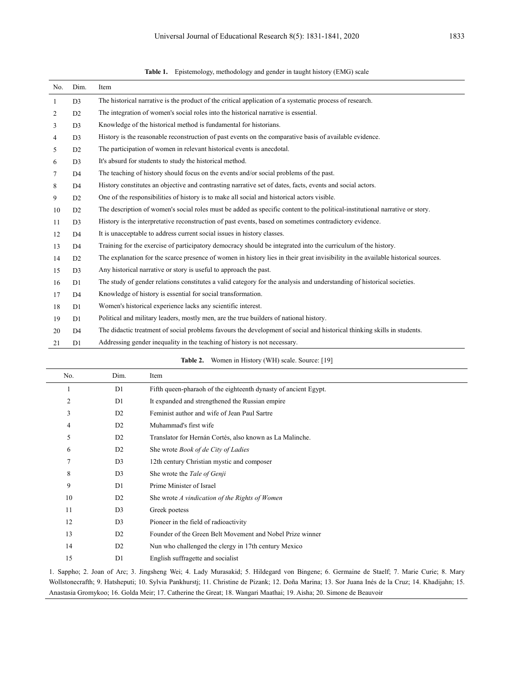| No.          | Dim.           | Item                                                                                                                              |
|--------------|----------------|-----------------------------------------------------------------------------------------------------------------------------------|
| $\mathbf{1}$ | D <sub>3</sub> | The historical narrative is the product of the critical application of a systematic process of research.                          |
| 2            | D2             | The integration of women's social roles into the historical narrative is essential.                                               |
| 3            | D <sub>3</sub> | Knowledge of the historical method is fundamental for historians.                                                                 |
| 4            | D <sub>3</sub> | History is the reasonable reconstruction of past events on the comparative basis of available evidence.                           |
| 5            | D2             | The participation of women in relevant historical events is anecdotal.                                                            |
| 6            | D <sub>3</sub> | It's absurd for students to study the historical method.                                                                          |
| 7            | D <sub>4</sub> | The teaching of history should focus on the events and/or social problems of the past.                                            |
| 8            | D <sub>4</sub> | History constitutes an objective and contrasting narrative set of dates, facts, events and social actors.                         |
| 9            | D2             | One of the responsibilities of history is to make all social and historical actors visible.                                       |
| 10           | D2             | The description of women's social roles must be added as specific content to the political-institutional narrative or story.      |
| 11           | D <sub>3</sub> | History is the interpretative reconstruction of past events, based on sometimes contradictory evidence.                           |
| 12           | D <sub>4</sub> | It is unacceptable to address current social issues in history classes.                                                           |
| 13           | D <sub>4</sub> | Training for the exercise of participatory democracy should be integrated into the curriculum of the history.                     |
| 14           | D2             | The explanation for the scarce presence of women in history lies in their great invisibility in the available historical sources. |
| 15           | D <sub>3</sub> | Any historical narrative or story is useful to approach the past.                                                                 |
| 16           | D1             | The study of gender relations constitutes a valid category for the analysis and understanding of historical societies.            |
| 17           | D <sub>4</sub> | Knowledge of history is essential for social transformation.                                                                      |
| 18           | D1             | Women's historical experience lacks any scientific interest.                                                                      |
| 19           | D1             | Political and military leaders, mostly men, are the true builders of national history.                                            |
| 20           | D <sub>4</sub> | The didactic treatment of social problems favours the development of social and historical thinking skills in students.           |
| 21           | D1             | Addressing gender inequality in the teaching of history is not necessary.                                                         |

**Table 1.** Epistemology, methodology and gender in taught history (EMG) scale

| Table 2. |  |  | Women in History (WH) scale. Source: [19] |  |  |
|----------|--|--|-------------------------------------------|--|--|
|----------|--|--|-------------------------------------------|--|--|

| No.            | Dim.           | Item                                                            |
|----------------|----------------|-----------------------------------------------------------------|
|                | D <sub>1</sub> | Fifth queen-pharaoh of the eighteenth dynasty of ancient Egypt. |
| $\overline{2}$ | D <sub>1</sub> | It expanded and strengthened the Russian empire                 |
| 3              | D2             | Feminist author and wife of Jean Paul Sartre                    |
| 4              | D2             | Muhammad's first wife                                           |
| 5              | D2             | Translator for Hernán Cortés, also known as La Malinche.        |
| 6              | D2             | She wrote <i>Book of de City of Ladies</i>                      |
| 7              | D <sub>3</sub> | 12th century Christian mystic and composer                      |
| 8              | D <sub>3</sub> | She wrote the Tale of Genji                                     |
| 9              | D <sub>1</sub> | Prime Minister of Israel                                        |
| 10             | D <sub>2</sub> | She wrote A vindication of the Rights of Women                  |
| 11             | D <sub>3</sub> | Greek poetess                                                   |
| 12             | D <sub>3</sub> | Pioneer in the field of radioactivity                           |
| 13             | D <sub>2</sub> | Founder of the Green Belt Movement and Nobel Prize winner       |
| 14             | D2             | Nun who challenged the clergy in 17th century Mexico            |
| 15             | D1             | English suffragette and socialist                               |

1. Sappho; 2. Joan of Arc; 3. Jingsheng Wei; 4. Lady Murasakid; 5. Hildegard von Bingene; 6. Germaine de Staelf; 7. Marie Curie; 8. Mary Wollstonecrafth; 9. Hatsheputi; 10. Sylvia Pankhurstj; 11. Christine de Pizank; 12. Doña Marina; 13. Sor Juana Inés de la Cruz; 14. Khadijahn; 15. Anastasia Gromykoo; 16. Golda Meir; 17. Catherine the Great; 18. Wangari Maathai; 19. Aisha; 20. Simone de Beauvoir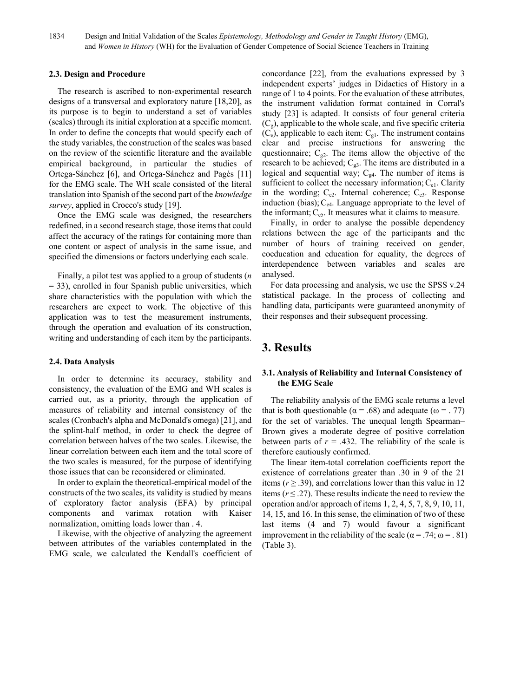#### **2.3. Design and Procedure**

The research is ascribed to non-experimental research designs of a transversal and exploratory nature [18,20], as its purpose is to begin to understand a set of variables (scales) through its initial exploration at a specific moment. In order to define the concepts that would specify each of the study variables, the construction of the scales was based on the review of the scientific literature and the available empirical background, in particular the studies of Ortega-Sánchez [6], and Ortega-Sánchez and Pagès [11] for the EMG scale. The WH scale consisted of the literal translation into Spanish of the second part of the *knowledge survey*, applied in Crocco's study [19].

Once the EMG scale was designed, the researchers redefined, in a second research stage, those items that could affect the accuracy of the ratings for containing more than one content or aspect of analysis in the same issue, and specified the dimensions or factors underlying each scale.

Finally, a pilot test was applied to a group of students (*n* = 33), enrolled in four Spanish public universities, which share characteristics with the population with which the researchers are expect to work. The objective of this application was to test the measurement instruments, through the operation and evaluation of its construction, writing and understanding of each item by the participants.

#### **2.4. Data Analysis**

In order to determine its accuracy, stability and consistency, the evaluation of the EMG and WH scales is carried out, as a priority, through the application of measures of reliability and internal consistency of the scales (Cronbach's alpha and McDonald's omega) [21], and the splint-half method, in order to check the degree of correlation between halves of the two scales. Likewise, the linear correlation between each item and the total score of the two scales is measured, for the purpose of identifying those issues that can be reconsidered or eliminated.

In order to explain the theoretical-empirical model of the constructs of the two scales, its validity is studied by means of exploratory factor analysis (EFA) by principal components and varimax rotation with Kaiser normalization, omitting loads lower than . 4.

Likewise, with the objective of analyzing the agreement between attributes of the variables contemplated in the EMG scale, we calculated the Kendall's coefficient of concordance [22], from the evaluations expressed by 3 independent experts' judges in Didactics of History in a range of 1 to 4 points. For the evaluation of these attributes, the instrument validation format contained in Corral's study [23] is adapted. It consists of four general criteria  $(C_g)$ , applicable to the whole scale, and five specific criteria  $(C_e)$ , applicable to each item:  $C_{gl}$ . The instrument contains clear and precise instructions for answering the questionnaire;  $C_{g2}$ . The items allow the objective of the research to be achieved;  $C_{g3}$ . The items are distributed in a logical and sequential way;  $C_{g4}$ . The number of items is sufficient to collect the necessary information;  $C_{el}$ . Clarity in the wording;  $C_{e2}$ . Internal coherence;  $C_{e3}$ . Response induction (bias); Ce4. Language appropriate to the level of the informant;  $C_{\text{e5}}$ . It measures what it claims to measure.

Finally, in order to analyse the possible dependency relations between the age of the participants and the number of hours of training received on gender, coeducation and education for equality, the degrees of interdependence between variables and scales are analysed.

For data processing and analysis, we use the SPSS v.24 statistical package. In the process of collecting and handling data, participants were guaranteed anonymity of their responses and their subsequent processing.

# **3. Results**

### **3.1. Analysis of Reliability and Internal Consistency of the EMG Scale**

The reliability analysis of the EMG scale returns a level that is both questionable ( $\alpha = .68$ ) and adequate ( $\omega = .77$ ) for the set of variables. The unequal length Spearman– Brown gives a moderate degree of positive correlation between parts of  $r = .432$ . The reliability of the scale is therefore cautiously confirmed.

The linear item-total correlation coefficients report the existence of correlations greater than .30 in 9 of the 21 items ( $r \geq 0.39$ ), and correlations lower than this value in 12 items  $(r \le 0.27)$ . These results indicate the need to review the operation and/or approach of items 1, 2, 4, 5, 7, 8, 9, 10, 11, 14, 15, and 16. In this sense, the elimination of two of these last items (4 and 7) would favour a significant improvement in the reliability of the scale ( $\alpha$  = .74;  $\omega$  = .81) (Table 3).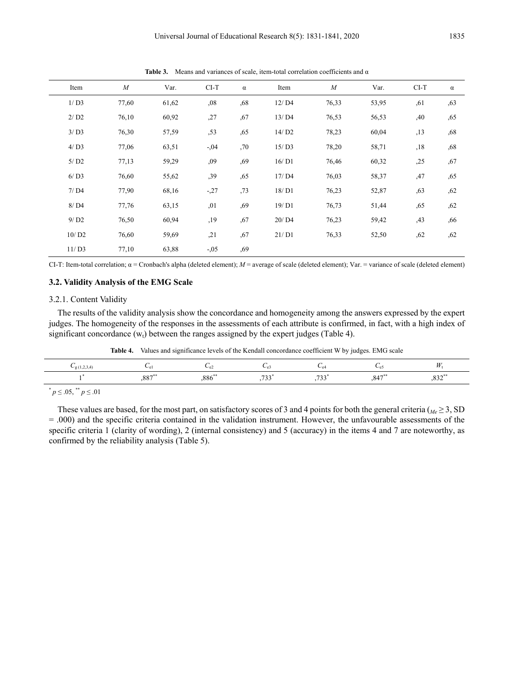| Item                | $\boldsymbol{M}$ | Var.  | $CI-T$ | $\alpha$ | Item  | $\overline{M}$ | Var.  | $CI-T$ | $\alpha$ |
|---------------------|------------------|-------|--------|----------|-------|----------------|-------|--------|----------|
| 1/D3                | 77,60            | 61,62 | ,08    | ,68      | 12/D4 | 76,33          | 53,95 | ,61    | ,63      |
| 2/D2                | 76,10            | 60,92 | ,27    | ,67      | 13/D4 | 76,53          | 56,53 | ,40    | ,65      |
| 3/D3                | 76,30            | 57,59 | ,53    | ,65      | 14/D2 | 78,23          | 60,04 | , 13   | ,68      |
| 4/D3                | 77,06            | 63,51 | $-.04$ | ,70      | 15/D3 | 78,20          | 58,71 | ,18    | ,68      |
| $5/$ D <sub>2</sub> | 77,13            | 59,29 | ,09    | ,69      | 16/D1 | 76,46          | 60,32 | ,25    | ,67      |
| 6/D3                | 76,60            | 55,62 | ,39    | ,65      | 17/D4 | 76,03          | 58,37 | ,47    | ,65      |
| 7/DA                | 77,90            | 68,16 | $-27$  | ,73      | 18/D1 | 76,23          | 52,87 | ,63    | ,62      |
| 8/D4                | 77,76            | 63,15 | ,01    | ,69      | 19/D1 | 76,73          | 51,44 | ,65    | ,62      |
| 9/D2                | 76,50            | 60,94 | ,19    | ,67      | 20/D4 | 76,23          | 59,42 | ,43    | ,66      |
| 10/D2               | 76,60            | 59,69 | , 21   | ,67      | 21/D1 | 76,33          | 52,50 | ,62    | ,62      |
| 11/D3               | 77,10            | 63,88 | $-.05$ | ,69      |       |                |       |        |          |

**Table 3.** Means and variances of scale, item-total correlation coefficients and α

CI-T: Item-total correlation; α = Cronbach's alpha (deleted element); *M* = average of scale (deleted element); Var. = variance of scale (deleted element)

#### **3.2. Validity Analysis of the EMG Scale**

#### 3.2.1. Content Validity

The results of the validity analysis show the concordance and homogeneity among the answers expressed by the expert judges. The homogeneity of the responses in the assessments of each attribute is confirmed, in fact, with a high index of significant concordance  $(w_t)$  between the ranges assigned by the expert judges (Table 4).

**Table 4.** Values and significance levels of the Kendall concordance coefficient W by judges. EMG scale

|                    |       | ∪e∙                   |                        |      |         |
|--------------------|-------|-----------------------|------------------------|------|---------|
| $0.07***$<br>، ٥٥. | ,886" | 722<br>, , <i>, ,</i> | $\overline{a}$<br>,,,, | ,847 | $,832*$ |

 $p \leq .05$ , \*\*  $p \leq .01$ 

These values are based, for the most part, on satisfactory scores of 3 and 4 points for both the general criteria ( $_{Me} \geq 3$ , SD = .000) and the specific criteria contained in the validation instrument. However, the unfavourable assessments of the specific criteria 1 (clarity of wording), 2 (internal consistency) and 5 (accuracy) in the items 4 and 7 are noteworthy, as confirmed by the reliability analysis (Table 5).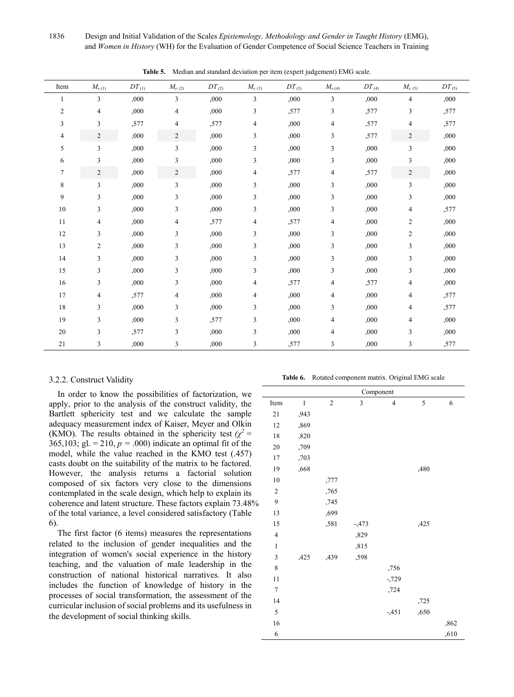1836 Design and Initial Validation of the Scales *Epistemology, Methodology and Gender in Taught History* (EMG), and *Women in History* (WH) for the Evaluation of Gender Competence of Social Science Teachers in Training

| Item           | $M_{e(1)}$     | $DT_{(1)}$ | $M_{e(2)}$     | $DT_{(2)}$ | $M_{e\; (3)}$ | $DT_{(3)}$ | $M_{e(4)}$     | $DT_{(4)}$ | $M_{e(5)}$              | $DT_{(5)}$ |
|----------------|----------------|------------|----------------|------------|---------------|------------|----------------|------------|-------------------------|------------|
| 1              | 3              | ,000       | 3              | ,000       | 3             | ,000       | 3              | ,000       | $\overline{\mathbf{4}}$ | ,000       |
| $\overline{2}$ | $\overline{4}$ | ,000       | 4              | ,000       | 3             | ,577       | 3              | ,577       | 3                       | ,577       |
| 3              | 3              | ,577       | 4              | ,577       | 4             | ,000       | 4              | ,577       | 4                       | ,577       |
| 4              | $\mathbf{2}$   | ,000       | $\overline{c}$ | ,000       | 3             | ,000       | 3              | ,577       | 2                       | ,000       |
| 5              | 3              | ,000       | 3              | ,000       | 3             | ,000       | 3              | ,000       | 3                       | ,000       |
| 6              | 3              | ,000       | 3              | ,000       | 3             | ,000       | 3              | ,000,      | 3                       | ,000       |
| 7              | $\overline{c}$ | ,000       | $\overline{c}$ | ,000       | 4             | ,577       | $\overline{4}$ | ,577       | $\overline{c}$          | ,000       |
| 8              | 3              | ,000       | 3              | ,000       | 3             | ,000       | 3              | ,000       | 3                       | ,000       |
| 9              | 3              | ,000       | 3              | ,000       | 3             | ,000       | 3              | ,000       | 3                       | ,000       |
| 10             | 3              | ,000       | 3              | ,000       | 3             | ,000       | 3              | ,000       | 4                       | ,577       |
| 11             | 4              | ,000       | 4              | ,577       | 4             | ,577       | 4              | ,000       | 2                       | ,000       |
| 12             | 3              | ,000       | 3              | ,000       | 3             | ,000       | 3              | ,000       | 2                       | ,000       |
| 13             | $\overline{2}$ | ,000       | 3              | ,000       | 3             | ,000       | 3              | ,000       | 3                       | ,000       |
| 14             | 3              | ,000       | 3              | ,000       | 3             | ,000       | 3              | ,000       | 3                       | ,000       |
| 15             | 3              | ,000       | 3              | ,000       | 3             | ,000       | 3              | ,000       | 3                       | ,000       |
| 16             | 3              | ,000       | 3              | ,000       | 4             | ,577       | 4              | ,577       | 4                       | ,000       |
| 17             | $\overline{4}$ | .577       | 4              | ,000       | 4             | ,000       | 4              | ,000       | 4                       | ,577       |
| 18             | 3              | ,000       | 3              | ,000       | 3             | ,000       | 3              | ,000       | 4                       | ,577       |
| 19             | 3              | ,000       | 3              | ,577       | 3             | ,000       | 4              | ,000       | 4                       | ,000       |
| 20             | 3              | ,577       | 3              | ,000       | 3             | ,000       | 4              | ,000       | 3                       | ,000       |
| 21             | 3              | ,000       | 3              | ,000       | 3             | ,577       | 3              | ,000       | 3                       | ,577       |

**Table 5.** Median and standard deviation per item (expert judgement) EMG scale.

#### 3.2.2. Construct Validity

In order to know the possibilities of factorization, we apply, prior to the analysis of the construct validity, the Bartlett sphericity test and we calculate the sample adequacy measurement index of Kaiser, Meyer and Olkin (KMO). The results obtained in the sphericity test  $(\chi^2 =$ 365,103; gl. = 210,  $p = .000$ ) indicate an optimal fit of the model, while the value reached in the KMO test (.457) casts doubt on the suitability of the matrix to be factored. However, the analysis returns a factorial solution composed of six factors very close to the dimensions contemplated in the scale design, which help to explain its coherence and latent structure. These factors explain 73.48% of the total variance, a level considered satisfactory (Table 6).

The first factor (6 items) measures the representations related to the inclusion of gender inequalities and the integration of women's social experience in the history teaching, and the valuation of male leadership in the construction of national historical narratives. It also includes the function of knowledge of history in the processes of social transformation, the assessment of the curricular inclusion of social problems and its usefulness in the development of social thinking skills.

**Table 6.** Rotated component matrix. Original EMG scale

|                | Component    |            |          |                |      |      |  |  |  |  |
|----------------|--------------|------------|----------|----------------|------|------|--|--|--|--|
| Item           | $\mathbf{1}$ | $\sqrt{2}$ | 3        | $\overline{4}$ | 5    | 6    |  |  |  |  |
| 21             | ,943         |            |          |                |      |      |  |  |  |  |
| 12             | ,869         |            |          |                |      |      |  |  |  |  |
| 18             | ,820         |            |          |                |      |      |  |  |  |  |
| 20             | ,709         |            |          |                |      |      |  |  |  |  |
| $17\,$         | ,703         |            |          |                |      |      |  |  |  |  |
| 19             | ,668         |            |          |                | ,480 |      |  |  |  |  |
| $10\,$         |              | ,777       |          |                |      |      |  |  |  |  |
| $\sqrt{2}$     |              | ,765       |          |                |      |      |  |  |  |  |
| 9              |              | ,745       |          |                |      |      |  |  |  |  |
| 13             |              | ,699       |          |                |      |      |  |  |  |  |
| 15             |              | ,581       | $-0.473$ |                | ,425 |      |  |  |  |  |
| $\overline{4}$ |              |            | ,829     |                |      |      |  |  |  |  |
| $\,1$          |              |            | ,815     |                |      |      |  |  |  |  |
| $\mathfrak z$  | ,425         | ,439       | ,598     |                |      |      |  |  |  |  |
| $\,8\,$        |              |            |          | ,756           |      |      |  |  |  |  |
| 11             |              |            |          | $-729$         |      |      |  |  |  |  |
| $\overline{7}$ |              |            |          | ,724           |      |      |  |  |  |  |
| 14             |              |            |          |                | ,725 |      |  |  |  |  |
| $\sqrt{5}$     |              |            |          | $-351$         | ,650 |      |  |  |  |  |
| 16             |              |            |          |                |      | ,862 |  |  |  |  |
| 6              |              |            |          |                |      | ,610 |  |  |  |  |
|                |              |            |          |                |      |      |  |  |  |  |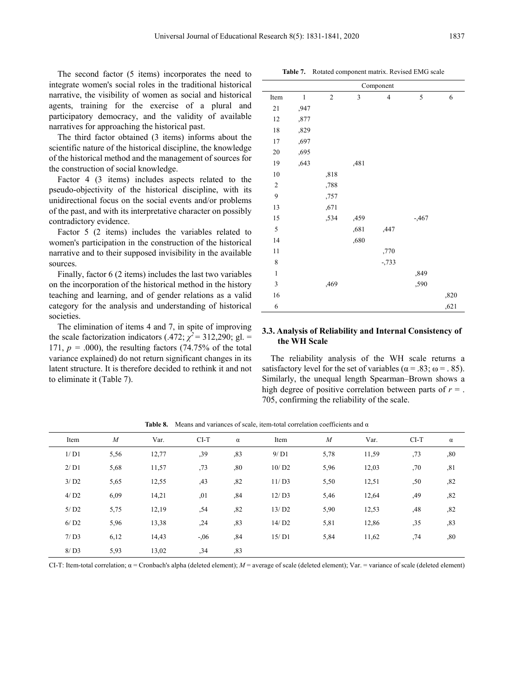The second factor (5 items) incorporates the need to integrate women's social roles in the traditional historical narrative, the visibility of women as social and historical agents, training for the exercise of a plural and participatory democracy, and the validity of available narratives for approaching the historical past.

The third factor obtained (3 items) informs about the scientific nature of the historical discipline, the knowledge of the historical method and the management of sources for the construction of social knowledge.

Factor 4 (3 items) includes aspects related to the pseudo-objectivity of the historical discipline, with its unidirectional focus on the social events and/or problems of the past, and with its interpretative character on possibly contradictory evidence.

Factor 5 (2 items) includes the variables related to women's participation in the construction of the historical narrative and to their supposed invisibility in the available sources.

Finally, factor 6 (2 items) includes the last two variables on the incorporation of the historical method in the history teaching and learning, and of gender relations as a valid category for the analysis and understanding of historical societies.

The elimination of items 4 and 7, in spite of improving the scale factorization indicators (.472;  $\chi^2$  = 312,290; gl. = 171,  $p = .000$ ), the resulting factors (74.75% of the total variance explained) do not return significant changes in its latent structure. It is therefore decided to rethink it and not to eliminate it (Table 7).

21 ,947 12 ,877 18 ,829 17 ,697 20 ,695 19 ,643 ,481 10 ,818 2 ,788 9 ,757 13 ,671 15 ,534 ,459 -,467 5 ,681 ,447 14 ,680 11 ,770 8 -,733  $1,849$ 3 ,469 ,590  $16$ ,  $820$ 6  $,621$ 

**Table 7.** Rotated component matrix. Revised EMG scale

Item  $1 \t 2 \t 3 \t 4 \t 5 \t 6$ 

Component

#### **3.3. Analysis of Reliability and Internal Consistency of the WH Scale**

The reliability analysis of the WH scale returns a satisfactory level for the set of variables ( $\alpha$  = .83;  $\omega$  = .85). Similarly, the unequal length Spearman–Brown shows a high degree of positive correlation between parts of  $r =$ . 705, confirming the reliability of the scale.

| Item                | $\boldsymbol{M}$ | Var.  | $CI-T$ | $\alpha$ | Item  | $\boldsymbol{M}$ | Var.  | $CI-T$ | $\alpha$ |
|---------------------|------------------|-------|--------|----------|-------|------------------|-------|--------|----------|
| 1/D1                | 5,56             | 12,77 | ,39    | ,83      | 9/D1  | 5,78             | 11,59 | ,73    | ,80      |
| 2/D1                | 5,68             | 11,57 | ,73    | ,80      | 10/D2 | 5,96             | 12,03 | ,70    | ,81      |
| 3/D2                | 5,65             | 12,55 | ,43    | ,82      | 11/D3 | 5,50             | 12,51 | ,50    | ,82      |
| 4/D2                | 6,09             | 14,21 | ,01    | ,84      | 12/D3 | 5,46             | 12,64 | ,49    | ,82      |
| $5/$ D <sub>2</sub> | 5,75             | 12,19 | ,54    | ,82      | 13/D2 | 5,90             | 12,53 | ,48    | ,82      |
| 6/D2                | 5,96             | 13,38 | , 24   | ,83      | 14/D2 | 5,81             | 12,86 | ,35    | ,83      |
| 7/D3                | 6,12             | 14,43 | $-.06$ | ,84      | 15/D1 | 5,84             | 11,62 | ,74    | ,80      |
| 8/D3                | 5,93             | 13,02 | , 34   | ,83      |       |                  |       |        |          |

**Table 8.** Means and variances of scale, item-total correlation coefficients and α

CI-T: Item-total correlation; α = Cronbach's alpha (deleted element); *M* = average of scale (deleted element); Var. = variance of scale (deleted element)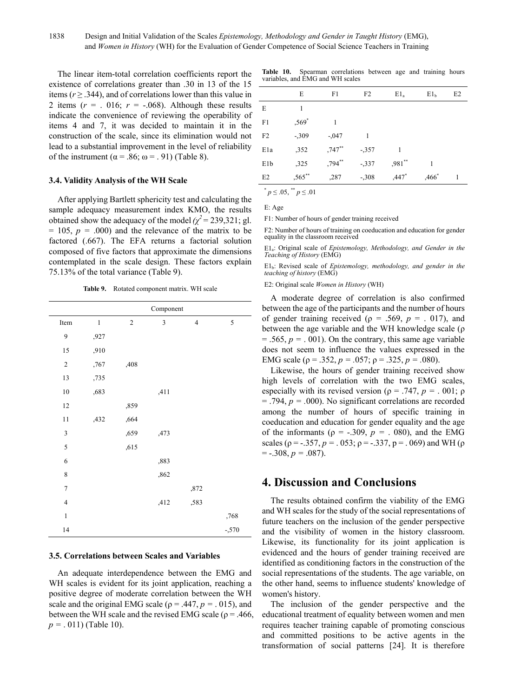The linear item-total correlation coefficients report the existence of correlations greater than .30 in 13 of the 15 items ( $r \geq 0.344$ ), and of correlations lower than this value in 2 items  $(r = 0.016; r = 0.068)$ . Although these results indicate the convenience of reviewing the operability of items 4 and 7, it was decided to maintain it in the construction of the scale, since its elimination would not lead to a substantial improvement in the level of reliability of the instrument ( $\alpha$  = .86;  $\omega$  = .91) (Table 8).

#### **3.4. Validity Analysis of the WH Scale**

After applying Bartlett sphericity test and calculating the sample adequacy measurement index KMO, the results obtained show the adequacy of the model  $(\chi^2 = 239,321;$  gl.  $= 105$ ,  $p = .000$  and the relevance of the matrix to be factored (.667). The EFA returns a factorial solution composed of five factors that approximate the dimensions contemplated in the scale design. These factors explain 75.13% of the total variance (Table 9).

**Table 9.** Rotated component matrix. WH scale

|                          |         |            | Component     |                         |        |
|--------------------------|---------|------------|---------------|-------------------------|--------|
| Item                     | $\,1\,$ | $\sqrt{2}$ | $\mathfrak z$ | $\overline{\mathbf{4}}$ | 5      |
| 9                        | ,927    |            |               |                         |        |
| 15                       | ,910    |            |               |                         |        |
| $\sqrt{2}$               | ,767    | ,408       |               |                         |        |
| 13                       | ,735    |            |               |                         |        |
| $10\,$                   | ,683    |            | ,411          |                         |        |
| 12                       |         | ,859       |               |                         |        |
| 11                       | ,432    | ,664       |               |                         |        |
| 3                        |         | ,659       | ,473          |                         |        |
| 5                        |         | ,615       |               |                         |        |
| 6                        |         |            | ,883          |                         |        |
| 8                        |         |            | ,862          |                         |        |
| $\overline{\mathcal{I}}$ |         |            |               | ,872                    |        |
| $\overline{4}$           |         |            | ,412          | ,583                    |        |
| $\,1$                    |         |            |               |                         | ,768   |
| 14                       |         |            |               |                         | $-570$ |

#### **3.5. Correlations between Scales and Variables**

An adequate interdependence between the EMG and WH scales is evident for its joint application, reaching a positive degree of moderate correlation between the WH scale and the original EMG scale ( $\rho$  = .447,  $p$  = .015), and between the WH scale and the revised EMG scale ( $\rho = .466$ , *p =* . 011) (Table 10).

**Table 10.** Spearman correlations between age and training hours variables, and EMG and WH scales

|                  | E         | F1        | F <sub>2</sub> | $E1_a$    | E1 <sub>b</sub>   | E <sub>2</sub> |
|------------------|-----------|-----------|----------------|-----------|-------------------|----------------|
| E                | 1         |           |                |           |                   |                |
| F1               | ,569 $*$  |           |                |           |                   |                |
| F <sub>2</sub>   | $-309$    | $-.047$   |                |           |                   |                |
| E <sub>1</sub> a | ,352      | $,747$ ** | $-357$         | 1         |                   |                |
| E1b              | ,325      | ,794**    | $-337$         | $,981$ ** |                   |                |
| E2               | $,565$ ** | ,287      | $-308$         | $,447*$   | ,466 <sup>*</sup> |                |
|                  | .         |           |                |           |                   |                |

 $p \leq 0.05$ ,  $p \leq 0.01$ 

E: Age

F1: Number of hours of gender training received

F2: Number of hours of training on coeducation and education for gender equality in the classroom received

E1a: Original scale of *Epistemology, Methodology, and Gender in the Teaching of History* (EMG)

E1b: Revised scale of *Epistemology, methodology, and gender in the teaching of history* (EMG)

E2: Original scale *Women in History* (WH)

A moderate degree of correlation is also confirmed between the age of the participants and the number of hours of gender training received ( $\rho = .569$ ,  $p = .017$ ), and between the age variable and the WH knowledge scale (ρ  $= .565, p = .001$ ). On the contrary, this same age variable does not seem to influence the values expressed in the EMG scale ( $\rho = .352$ ,  $p = .057$ ;  $\rho = .325$ ,  $p = .080$ ).

Likewise, the hours of gender training received show high levels of correlation with the two EMG scales, especially with its revised version ( $\rho = .747$ ,  $p = .001$ ;  $\rho$ = .794, *p = .*000). No significant correlations are recorded among the number of hours of specific training in coeducation and education for gender equality and the age of the informants ( $\rho = -.309$ ,  $p = .080$ ), and the EMG scales ( $\rho = -0.357$ ,  $p = 0.053$ ;  $\rho = -0.337$ ,  $p = 0.069$ ) and WH ( $\rho$ = -.308, *p =* .087).

# **4. Discussion and Conclusions**

The results obtained confirm the viability of the EMG and WH scales for the study of the social representations of future teachers on the inclusion of the gender perspective and the visibility of women in the history classroom. Likewise, its functionality for its joint application is evidenced and the hours of gender training received are identified as conditioning factors in the construction of the social representations of the students. The age variable, on the other hand, seems to influence students' knowledge of women's history.

The inclusion of the gender perspective and the educational treatment of equality between women and men requires teacher training capable of promoting conscious and committed positions to be active agents in the transformation of social patterns [24]. It is therefore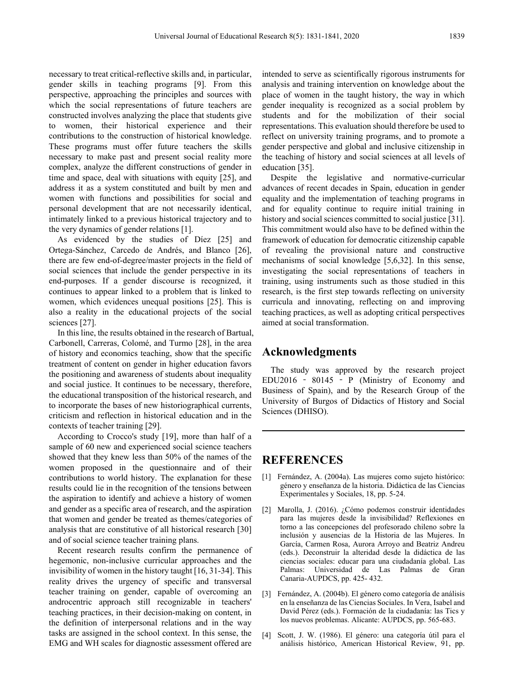necessary to treat critical-reflective skills and, in particular, gender skills in teaching programs [9]. From this perspective, approaching the principles and sources with which the social representations of future teachers are constructed involves analyzing the place that students give to women, their historical experience and their contributions to the construction of historical knowledge. These programs must offer future teachers the skills necessary to make past and present social reality more complex, analyze the different constructions of gender in time and space, deal with situations with equity [25], and address it as a system constituted and built by men and women with functions and possibilities for social and personal development that are not necessarily identical, intimately linked to a previous historical trajectory and to the very dynamics of gender relations [1].

As evidenced by the studies of Díez [25] and Ortega-Sánchez, Carcedo de Andrés, and Blanco [26], there are few end-of-degree/master projects in the field of social sciences that include the gender perspective in its end-purposes. If a gender discourse is recognized, it continues to appear linked to a problem that is linked to women, which evidences unequal positions [25]. This is also a reality in the educational projects of the social sciences [27].

In this line, the results obtained in the research of Bartual, Carbonell, Carreras, Colomé, and Turmo [28], in the area of history and economics teaching, show that the specific treatment of content on gender in higher education favors the positioning and awareness of students about inequality and social justice. It continues to be necessary, therefore, the educational transposition of the historical research, and to incorporate the bases of new historiographical currents, criticism and reflection in historical education and in the contexts of teacher training [29].

According to Crocco's study [19], more than half of a sample of 60 new and experienced social science teachers showed that they knew less than 50% of the names of the women proposed in the questionnaire and of their contributions to world history. The explanation for these results could lie in the recognition of the tensions between the aspiration to identify and achieve a history of women and gender as a specific area of research, and the aspiration that women and gender be treated as themes/categories of analysis that are constitutive of all historical research [30] and of social science teacher training plans.

Recent research results confirm the permanence of hegemonic, non-inclusive curricular approaches and the invisibility of women in the history taught [16, 31-34]. This reality drives the urgency of specific and transversal teacher training on gender, capable of overcoming an androcentric approach still recognizable in teachers' teaching practices, in their decision-making on content, in the definition of interpersonal relations and in the way tasks are assigned in the school context. In this sense, the EMG and WH scales for diagnostic assessment offered are

intended to serve as scientifically rigorous instruments for analysis and training intervention on knowledge about the place of women in the taught history, the way in which gender inequality is recognized as a social problem by students and for the mobilization of their social representations. This evaluation should therefore be used to reflect on university training programs, and to promote a gender perspective and global and inclusive citizenship in the teaching of history and social sciences at all levels of education [35].

Despite the legislative and normative-curricular advances of recent decades in Spain, education in gender equality and the implementation of teaching programs in and for equality continue to require initial training in history and social sciences committed to social justice [31]. This commitment would also have to be defined within the framework of education for democratic citizenship capable of revealing the provisional nature and constructive mechanisms of social knowledge [5,6,32]. In this sense, investigating the social representations of teachers in training, using instruments such as those studied in this research, is the first step towards reflecting on university curricula and innovating, reflecting on and improving teaching practices, as well as adopting critical perspectives aimed at social transformation.

# **Acknowledgments**

The study was approved by the research project EDU2016 ‐ 80145 ‐ P (Ministry of Economy and Business of Spain), and by the Research Group of the University of Burgos of Didactics of History and Social Sciences (DHISO).

## **REFERENCES**

- [1] Fernández, A. (2004a). Las mujeres como sujeto histórico: género y enseñanza de la historia. Didáctica de las Ciencias Experimentales y Sociales, 18, pp. 5-24.
- [2] Marolla, J. (2016). ¿Cómo podemos construir identidades para las mujeres desde la invisibilidad? Reflexiones en torno a las concepciones del profesorado chileno sobre la inclusión y ausencias de la Historia de las Mujeres. In García, Carmen Rosa, Aurora Arroyo and Beatriz Andreu (eds.). Deconstruir la alteridad desde la didáctica de las ciencias sociales: educar para una ciudadanía global. Las Palmas: Universidad de Las Palmas de Gran Canaria-AUPDCS, pp. 425- 432.
- [3] Fernández, A. (2004b). El género como categoría de análisis en la enseñanza de las Ciencias Sociales. In Vera, Isabel and David Pérez (eds.). Formación de la ciudadanía: las Tics y los nuevos problemas. Alicante: AUPDCS, pp. 565-683.
- [4] Scott, J. W. (1986). El género: una categoría útil para el análisis histórico, American Historical Review, 91, pp.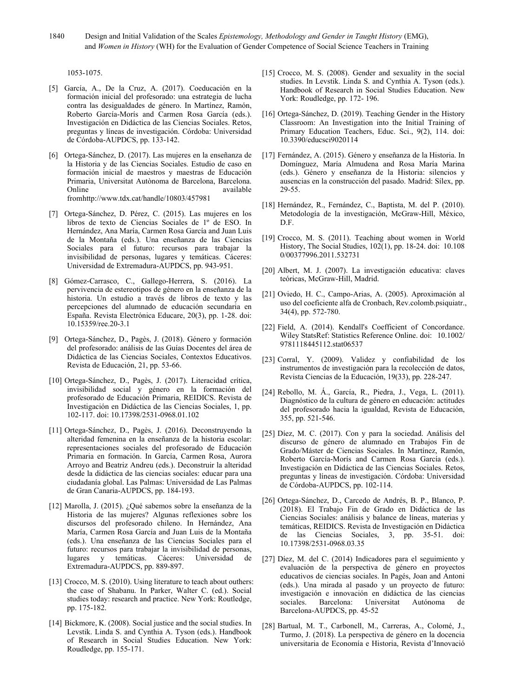1840 Design and Initial Validation of the Scales *Epistemology, Methodology and Gender in Taught History* (EMG), and *Women in History* (WH) for the Evaluation of Gender Competence of Social Science Teachers in Training

1053-1075.

- [5] García, A., De la Cruz, A. (2017). Coeducación en la formación inicial del profesorado: una estrategia de lucha contra las desigualdades de género. In Martínez, Ramón, Roberto García-Morís and Carmen Rosa García (eds.). Investigación en Didáctica de las Ciencias Sociales. Retos, preguntas y líneas de investigación. Córdoba: Universidad de Córdoba-AUPDCS, pp. 133-142.
- [6] Ortega-Sánchez, D. (2017). Las mujeres en la enseñanza de la Historia y de las Ciencias Sociales. Estudio de caso en formación inicial de maestros y maestras de Educación Primaria, Universitat Autònoma de Barcelona, Barcelona. Online available available fromhttp://www.tdx.cat/handle/10803/457981
- [7] Ortega-Sánchez, D. Pérez, C. (2015). Las mujeres en los libros de texto de Ciencias Sociales de 1º de ESO. In Hernández, Ana María, Carmen Rosa García and Juan Luis de la Montaña (eds.). Una enseñanza de las Ciencias Sociales para el futuro: recursos para trabajar la invisibilidad de personas, lugares y temáticas. Cáceres: Universidad de Extremadura-AUPDCS, pp. 943-951.
- [8] Gómez-Carrasco, C., Gallego-Herrera, S. (2016). La pervivencia de estereotipos de género en la enseñanza de la historia. Un estudio a través de libros de texto y las percepciones del alumnado de educación secundaria en España. Revista Electrónica Educare, 20(3), pp. 1-28. doi: 10.15359/ree.20-3.1
- [9] Ortega-Sánchez, D., Pagès, J. (2018). Género y formación del profesorado: análisis de las Guías Docentes del área de Didáctica de las Ciencias Sociales, Contextos Educativos. Revista de Educación, 21, pp. 53-66.
- [10] Ortega-Sánchez, D., Pagès, J. (2017). Literacidad crítica, invisibilidad social y género en la formación del profesorado de Educación Primaria, REIDICS. Revista de Investigación en Didáctica de las Ciencias Sociales, 1, pp. 102-117. doi: 10.17398/2531-0968.01.102
- [11] Ortega-Sánchez, D., Pagès, J. (2016). Deconstruyendo la alteridad femenina en la enseñanza de la historia escolar: representaciones sociales del profesorado de Educación Primaria en formación. In García, Carmen Rosa, Aurora Arroyo and Beatriz Andreu (eds.). Deconstruir la alteridad desde la didáctica de las ciencias sociales: educar para una ciudadanía global. Las Palmas: Universidad de Las Palmas de Gran Canaria-AUPDCS, pp. 184-193.
- [12] Marolla, J. (2015). ¿Qué sabemos sobre la enseñanza de la Historia de las mujeres? Algunas reflexiones sobre los discursos del profesorado chileno. In Hernández, Ana María, Carmen Rosa García and Juan Luis de la Montaña (eds.). Una enseñanza de las Ciencias Sociales para el futuro: recursos para trabajar la invisibilidad de personas, lugares y temáticas. Cáceres: Universidad de Extremadura-AUPDCS, pp. 889-897.
- [13] Crocco, M. S. (2010). Using literature to teach about outhers: the case of Shabanu. In Parker, Walter C. (ed.). Social studies today: research and practice. New York: Routledge, pp. 175-182.
- [14] Bickmore, K. (2008). Social justice and the social studies. In Levstik. Linda S. and Cynthia A. Tyson (eds.). Handbook of Research in Social Studies Education. New York: Roudledge, pp. 155-171.
- [15] Crocco, M. S. (2008). Gender and sexuality in the social studies. In Levstik. Linda S. and Cynthia A. Tyson (eds.). Handbook of Research in Social Studies Education. New York: Roudledge, pp. 172- 196.
- [16] Ortega-Sánchez, D. (2019). Teaching Gender in the History Classroom: An Investigation into the Initial Training of Primary Education Teachers, Educ. Sci., 9(2), 114. doi: 10.3390/educsci9020114
- [17] Fernández, A. (2015). Género y enseñanza de la Historia. In Domínguez, María Almudena and Rosa María Marina (eds.). Género y enseñanza de la Historia: silencios y ausencias en la construcción del pasado. Madrid: Sílex, pp. 29-55.
- [18] Hernández, R., Fernández, C., Baptista, M. del P. (2010). Metodología de la investigación, McGraw-Hill, México, D.F.
- [19] Crocco, M. S. (2011). Teaching about women in World History, The Social Studies, 102(1), pp. 18-24. doi: 10.108 0/00377996.2011.532731
- [20] Albert, M. J. (2007). La investigación educativa: claves teóricas, McGraw-Hill, Madrid.
- [21] Oviedo, H. C., Campo-Arias, A. (2005). Aproximación al uso del coeficiente alfa de Cronbach, Rev.colomb.psiquiatr., 34(4), pp. 572-780.
- [22] Field, A. (2014). Kendall's Coefficient of Concordance. Wiley StatsRef: Statistics Reference Online. doi: 10.1002/ 9781118445112.stat06537
- [23] Corral, Y. (2009). Validez y confiabilidad de los instrumentos de investigación para la recolección de datos, Revista Ciencias de la Educación, 19(33), pp. 228-247.
- [24] Rebollo, M. Á., García, R., Piedra, J., Vega, L. (2011). Diagnóstico de la cultura de género en educación: actitudes del profesorado hacia la igualdad, Revista de Educación, 355, pp. 521-546.
- [25] Díez, M. C. (2017). Con y para la sociedad. Análisis del discurso de género de alumnado en Trabajos Fin de Grado/Máster de Ciencias Sociales. In Martínez, Ramón, Roberto García-Morís and Carmen Rosa García (eds.). Investigación en Didáctica de las Ciencias Sociales. Retos, preguntas y líneas de investigación. Córdoba: Universidad de Córdoba-AUPDCS, pp. 102-114.
- [26] Ortega-Sánchez, D., Carcedo de Andrés, B. P., Blanco, P. (2018). El Trabajo Fin de Grado en Didáctica de las Ciencias Sociales: análisis y balance de líneas, materias y temáticas, REIDICS. Revista de Investigación en Didáctica de las Ciencias Sociales, 3, pp. 35-51. doi: 10.17398/2531-0968.03.35
- [27] Díez, M. del C. (2014) Indicadores para el seguimiento y evaluación de la perspectiva de género en proyectos educativos de ciencias sociales. In Pagés, Joan and Antoni (eds.). Una mirada al pasado y un proyecto de futuro: investigación e innovación en didáctica de las ciencias sociales. Barcelona: Universitat Autónoma de Barcelona-AUPDCS, pp. 45-52
- [28] Bartual, M. T., Carbonell, M., Carreras, A., Colomé, J., Turmo, J. (2018). La perspectiva de género en la docencia universitaria de Economía e Historia, Revista d'Innovació